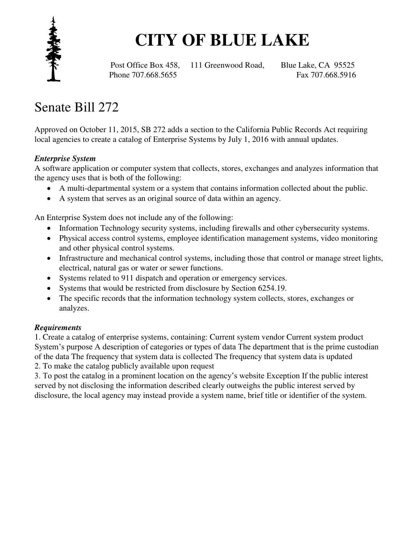

# **CITY OF BLUE LAKE**

Post Office Box 458, 111 Greenwood Road, Blue Lake, CA 95525 Phone 707.668.5655 Fax 707.668.5916

## Senate Bill 272

Approved on October 11, 2015, SB 272 adds a section to the California Public Records Act requiring local agencies to create a catalog of Enterprise Systems by July 1, 2016 with annual updates.

#### *Enterprise System*

A software application or computer system that collects, stores, exchanges and analyzes information that the agency uses that is both of the following:

- A multi-departmental system or a system that contains information collected about the public.
- A system that serves as an original source of data within an agency.

An Enterprise System does not include any of the following:

- Information Technology security systems, including firewalls and other cybersecurity systems.
- Physical access control systems, employee identification management systems, video monitoring and other physical control systems.
- Infrastructure and mechanical control systems, including those that control or manage street lights, electrical, natural gas or water or sewer functions.
- Systems related to 911 dispatch and operation or emergency services.
- Systems that would be restricted from disclosure by Section 6254.19.
- The specific records that the information technology system collects, stores, exchanges or analyzes.

#### *Requirements*

1. Create a catalog of enterprise systems, containing: Current system vendor Current system product System's purpose A description of categories or types of data The department that is the prime custodian of the data The frequency that system data is collected The frequency that system data is updated

2. To make the catalog publicly available upon request

3. To post the catalog in a prominent location on the agency's website Exception If the public interest served by not disclosing the information described clearly outweighs the public interest served by disclosure, the local agency may instead provide a system name, brief title or identifier of the system.